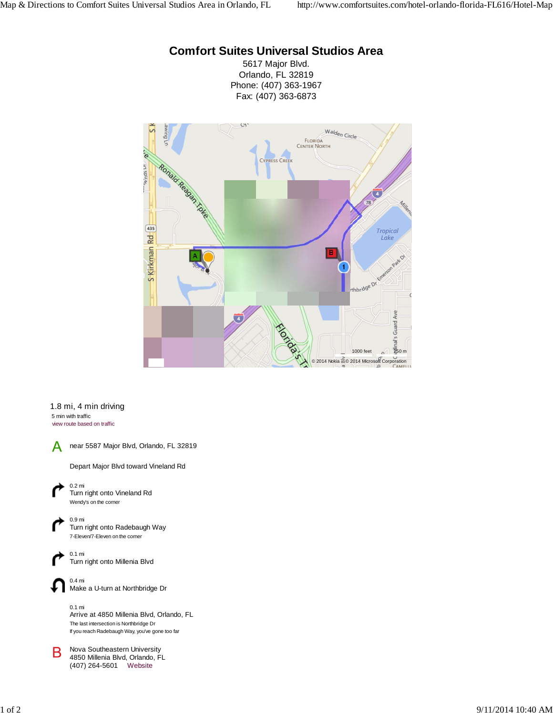## **Comfort Suites Universal Studios Area**

5617 Major Blvd. Orlando, FL 32819 Phone: (407) 363-1967 Fax: (407) 363-6873



## 1.8 mi, 4 min driving 5 min with traffic view route based on traffic



near 5587 Major Blvd, Orlando, FL 32819

Depart Major Blvd toward Vineland Rd



0.9 mi Turn right onto Radebaugh Way 7-Eleven/7-Eleven on the corner



0.4 mi Make a U-turn at Northbridge Dr

0.1 mi Arrive at 4850 Millenia Blvd, Orlando, FL The last intersection is Northbridge Dr If you reach Radebaugh Way, you've gone too far

**B** Nova Southeastern University 4850 Millenia Blvd, Orlando, FL (407) 264-5601 Website